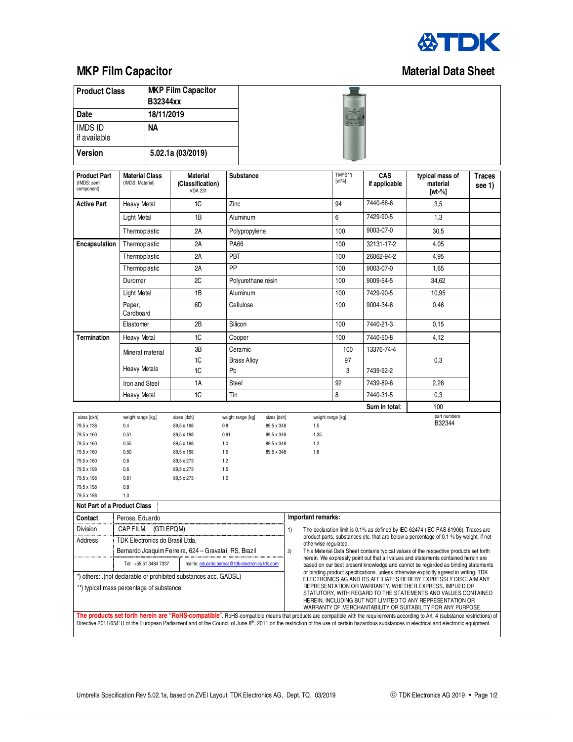

## **MKP Film Capacitor Capacitor Capacitor Capacitor Capacitor Capacitor Capacitor Capacitor Capacitor Capacitor Capacitor Capacitor Capacitor Capacitor Capacitor Capacitor Capacitor Capacitor Capacitor Capacitor Capacitor Ca**

| <b>Product Class</b>                                                                                         |                                                            | B32344xx | <b>MKP Film Capacitor</b>                             |                    |                    |                          |                                                                                                                                                                                                                                                                                                                          |                                                                                                                                                                             |                     |                             |                                                                                                                                                                                                                                                                                                                                                                                          |                         |  |
|--------------------------------------------------------------------------------------------------------------|------------------------------------------------------------|----------|-------------------------------------------------------|--------------------|--------------------|--------------------------|--------------------------------------------------------------------------------------------------------------------------------------------------------------------------------------------------------------------------------------------------------------------------------------------------------------------------|-----------------------------------------------------------------------------------------------------------------------------------------------------------------------------|---------------------|-----------------------------|------------------------------------------------------------------------------------------------------------------------------------------------------------------------------------------------------------------------------------------------------------------------------------------------------------------------------------------------------------------------------------------|-------------------------|--|
| Date                                                                                                         |                                                            |          | 18/11/2019                                            |                    |                    |                          |                                                                                                                                                                                                                                                                                                                          |                                                                                                                                                                             |                     |                             |                                                                                                                                                                                                                                                                                                                                                                                          |                         |  |
| <b>IMDS ID</b><br><b>NA</b>                                                                                  |                                                            |          |                                                       |                    |                    |                          | $\frac{1}{2}$                                                                                                                                                                                                                                                                                                            |                                                                                                                                                                             |                     |                             |                                                                                                                                                                                                                                                                                                                                                                                          |                         |  |
| if available                                                                                                 |                                                            |          |                                                       |                    |                    |                          |                                                                                                                                                                                                                                                                                                                          |                                                                                                                                                                             |                     |                             |                                                                                                                                                                                                                                                                                                                                                                                          |                         |  |
| <b>Version</b>                                                                                               |                                                            |          | 5.02.1a (03/2019)                                     |                    |                    |                          |                                                                                                                                                                                                                                                                                                                          |                                                                                                                                                                             |                     |                             |                                                                                                                                                                                                                                                                                                                                                                                          |                         |  |
| <b>Product Part</b><br>(IMDS: semi<br>component)                                                             | <b>Material Class</b><br>(IMDS: Material)                  |          | <b>Material</b><br>(Classification)<br><b>VDA 231</b> |                    | <b>Substance</b>   |                          |                                                                                                                                                                                                                                                                                                                          |                                                                                                                                                                             | TMPS**)<br>$[wt\%]$ | <b>CAS</b><br>if applicable | typical mass of<br>material<br>[wt-%]                                                                                                                                                                                                                                                                                                                                                    | <b>Traces</b><br>see 1) |  |
| <b>Active Part</b>                                                                                           | Heavy Metal                                                |          | 1C                                                    |                    | Zinc               |                          |                                                                                                                                                                                                                                                                                                                          |                                                                                                                                                                             | 94                  | 7440-66-6                   | 3,5                                                                                                                                                                                                                                                                                                                                                                                      |                         |  |
|                                                                                                              | Light Metal                                                |          | 1B                                                    |                    | Aluminum           |                          |                                                                                                                                                                                                                                                                                                                          |                                                                                                                                                                             | 6                   | 7429-90-5                   | 1,3                                                                                                                                                                                                                                                                                                                                                                                      |                         |  |
|                                                                                                              | Thermoplastic                                              |          | 2Α                                                    |                    | Polypropylene      |                          |                                                                                                                                                                                                                                                                                                                          |                                                                                                                                                                             | 100                 | 9003-07-0                   | 30,5                                                                                                                                                                                                                                                                                                                                                                                     |                         |  |
| Encapsulation                                                                                                | Thermoplastic                                              |          | 2Α                                                    |                    | PA66               |                          |                                                                                                                                                                                                                                                                                                                          |                                                                                                                                                                             | 100                 | 32131-17-2                  | 4,05                                                                                                                                                                                                                                                                                                                                                                                     |                         |  |
|                                                                                                              | Thermoplastic                                              |          | 2A                                                    |                    | PBT                |                          |                                                                                                                                                                                                                                                                                                                          |                                                                                                                                                                             | 100                 | 26062-94-2                  | 4,95                                                                                                                                                                                                                                                                                                                                                                                     |                         |  |
|                                                                                                              | Thermoplastic                                              |          | 2A                                                    | PP                 |                    |                          |                                                                                                                                                                                                                                                                                                                          | 100                                                                                                                                                                         | 9003-07-0           | 1,65                        |                                                                                                                                                                                                                                                                                                                                                                                          |                         |  |
|                                                                                                              | Duromer                                                    |          | 2C                                                    | Polyurethane resin |                    |                          |                                                                                                                                                                                                                                                                                                                          | 100                                                                                                                                                                         | 9009-54-5           | 34,62                       |                                                                                                                                                                                                                                                                                                                                                                                          |                         |  |
|                                                                                                              | Light Metal                                                |          | 1B                                                    | Aluminum           |                    |                          |                                                                                                                                                                                                                                                                                                                          | 100                                                                                                                                                                         | 7429-90-5           | 10,95                       |                                                                                                                                                                                                                                                                                                                                                                                          |                         |  |
|                                                                                                              | Paper,                                                     |          | 6D<br>Cellulose                                       |                    |                    |                          |                                                                                                                                                                                                                                                                                                                          |                                                                                                                                                                             | 100                 | 9004-34-6                   | 0,46                                                                                                                                                                                                                                                                                                                                                                                     |                         |  |
|                                                                                                              | Cardboard                                                  |          |                                                       |                    |                    |                          |                                                                                                                                                                                                                                                                                                                          |                                                                                                                                                                             |                     |                             |                                                                                                                                                                                                                                                                                                                                                                                          |                         |  |
|                                                                                                              | Elastomer                                                  |          | 2B                                                    |                    | Silicon            |                          |                                                                                                                                                                                                                                                                                                                          |                                                                                                                                                                             | 100                 | 7440-21-3                   | 0,15                                                                                                                                                                                                                                                                                                                                                                                     |                         |  |
| <b>Termination</b>                                                                                           | Heavy Metal                                                |          | 1C                                                    |                    | Cooper             |                          |                                                                                                                                                                                                                                                                                                                          |                                                                                                                                                                             | 100                 | 7440-50-8                   | 4,12                                                                                                                                                                                                                                                                                                                                                                                     |                         |  |
|                                                                                                              | Mineral material                                           |          | ЗB                                                    |                    | Ceramic            |                          |                                                                                                                                                                                                                                                                                                                          |                                                                                                                                                                             | 100                 | 13376-74-4                  |                                                                                                                                                                                                                                                                                                                                                                                          |                         |  |
|                                                                                                              | Heavy Metals                                               |          | 1C<br>1C                                              | Pb                 | <b>Brass Alloy</b> |                          |                                                                                                                                                                                                                                                                                                                          |                                                                                                                                                                             | 97<br>3             |                             | 0,3                                                                                                                                                                                                                                                                                                                                                                                      |                         |  |
|                                                                                                              |                                                            |          |                                                       |                    |                    |                          |                                                                                                                                                                                                                                                                                                                          |                                                                                                                                                                             |                     | 7439-92-2                   |                                                                                                                                                                                                                                                                                                                                                                                          |                         |  |
|                                                                                                              | Iron and Steel                                             |          | 1A                                                    | Steel              |                    |                          |                                                                                                                                                                                                                                                                                                                          |                                                                                                                                                                             | 92                  | 7439-89-6                   | 2,26                                                                                                                                                                                                                                                                                                                                                                                     |                         |  |
|                                                                                                              | <b>Heavy Metal</b>                                         |          | 1C                                                    | Tin                |                    |                          |                                                                                                                                                                                                                                                                                                                          |                                                                                                                                                                             | 8                   | 7440-31-5                   | 0,3                                                                                                                                                                                                                                                                                                                                                                                      |                         |  |
| sizes [dxh]                                                                                                  | weight range [kg.]                                         |          | sizes [dxh]                                           |                    | weight range [kg]  | sizes [dxh]              |                                                                                                                                                                                                                                                                                                                          | weight range [kg]                                                                                                                                                           |                     | Sum in total:               | 100<br>part numbers                                                                                                                                                                                                                                                                                                                                                                      |                         |  |
| 79,5 x 138                                                                                                   | 0,4                                                        |          | 89,5 x 198                                            | 0,8                |                    | 89,5 x 348               |                                                                                                                                                                                                                                                                                                                          | 1,5                                                                                                                                                                         |                     |                             | B32344                                                                                                                                                                                                                                                                                                                                                                                   |                         |  |
| 79,5 x 160                                                                                                   | 0,51                                                       |          | 89,5 x 198                                            | 0,91               |                    | 89,5 x 348               |                                                                                                                                                                                                                                                                                                                          | 1,35                                                                                                                                                                        |                     |                             |                                                                                                                                                                                                                                                                                                                                                                                          |                         |  |
| 79,5 x 160<br>79,5 x 160                                                                                     | 0,55<br>0,50                                               |          | 89,5 x 198<br>89,5 x 198                              | 1,0                |                    | 89,5 x 348<br>89,5 x 348 |                                                                                                                                                                                                                                                                                                                          | 1,2<br>1,8                                                                                                                                                                  |                     |                             |                                                                                                                                                                                                                                                                                                                                                                                          |                         |  |
| 79,5 x 160                                                                                                   | 0,6                                                        |          | 89,5 x 273                                            | 1,5<br>1,2         |                    |                          |                                                                                                                                                                                                                                                                                                                          |                                                                                                                                                                             |                     |                             |                                                                                                                                                                                                                                                                                                                                                                                          |                         |  |
| 79,5 x 198                                                                                                   | 0,6                                                        |          | 89,5 x 273                                            | 1,5                |                    |                          |                                                                                                                                                                                                                                                                                                                          |                                                                                                                                                                             |                     |                             |                                                                                                                                                                                                                                                                                                                                                                                          |                         |  |
| 79,5 x 198                                                                                                   | 0,61                                                       |          | 89,5 x 273                                            | 1,0                |                    |                          |                                                                                                                                                                                                                                                                                                                          |                                                                                                                                                                             |                     |                             |                                                                                                                                                                                                                                                                                                                                                                                          |                         |  |
| 79,5 x 198                                                                                                   | 0,8                                                        |          |                                                       |                    |                    |                          |                                                                                                                                                                                                                                                                                                                          |                                                                                                                                                                             |                     |                             |                                                                                                                                                                                                                                                                                                                                                                                          |                         |  |
| 79,5 x 198<br>Not Part of a Product Class                                                                    | 1,0                                                        |          |                                                       |                    |                    |                          |                                                                                                                                                                                                                                                                                                                          |                                                                                                                                                                             |                     |                             |                                                                                                                                                                                                                                                                                                                                                                                          |                         |  |
| Contact                                                                                                      | Perosa, Eduardo                                            |          |                                                       |                    |                    |                          |                                                                                                                                                                                                                                                                                                                          | Important remarks:                                                                                                                                                          |                     |                             |                                                                                                                                                                                                                                                                                                                                                                                          |                         |  |
| Division                                                                                                     |                                                            |          |                                                       |                    |                    |                          |                                                                                                                                                                                                                                                                                                                          |                                                                                                                                                                             |                     |                             |                                                                                                                                                                                                                                                                                                                                                                                          |                         |  |
| Address                                                                                                      | CAP FILM,<br>(GTI EPQM)<br>TDK Electronics do Brasil Ltda, |          |                                                       |                    |                    |                          | The declaration limit is 0.1% as defined by IEC 62474 (IEC PAS 61906). Traces are<br>1)<br>product parts, substances etc. that are below a percentage of 0.1 % by weight, if not                                                                                                                                         |                                                                                                                                                                             |                     |                             |                                                                                                                                                                                                                                                                                                                                                                                          |                         |  |
|                                                                                                              |                                                            |          | Bernardo Joaquim Ferreira, 624 – Gravataí, RS, Brazil |                    |                    |                          | 2)                                                                                                                                                                                                                                                                                                                       | otherwise regulated.                                                                                                                                                        |                     |                             |                                                                                                                                                                                                                                                                                                                                                                                          |                         |  |
|                                                                                                              |                                                            |          |                                                       |                    |                    |                          |                                                                                                                                                                                                                                                                                                                          | This Material Data Sheet contains typical values of the respective products set forth<br>herein. We expressly point out that all values and statements contained herein are |                     |                             |                                                                                                                                                                                                                                                                                                                                                                                          |                         |  |
| Tel: +55 51 3484 7337<br>mailto: eduardo.perosa@tdk-electronics.tdk.com                                      |                                                            |          |                                                       |                    |                    |                          | based on our best present knowledge and cannot be regarded as binding statements<br>or binding product specifications, unless otherwise explicitly agreed in writing. TDK                                                                                                                                                |                                                                                                                                                                             |                     |                             |                                                                                                                                                                                                                                                                                                                                                                                          |                         |  |
| *) others: .(not declarable or prohibited substances acc. GADSL)<br>**) typical mass percentage of substance |                                                            |          |                                                       |                    |                    |                          | ELECTRONICS AG AND ITS AFFILIATES HEREBY EXPRESSLY DISCLAIM ANY<br>REPRESENTATION OR WARRANTY, WHETHER EXPRESS, IMPLIED OR<br>STATUTORY, WITH REGARD TO THE STATEMENTS AND VALUES CONTAINED<br>HEREIN, INCLUDING BUT NOT LIMITED TO ANY REPRESENTATION OR<br>WARRANTY OF MERCHANTABILITY OR SUITABILITY FOR ANY PURPOSE. |                                                                                                                                                                             |                     |                             |                                                                                                                                                                                                                                                                                                                                                                                          |                         |  |
|                                                                                                              |                                                            |          |                                                       |                    |                    |                          |                                                                                                                                                                                                                                                                                                                          |                                                                                                                                                                             |                     |                             | The products set forth herein are "RoHS-compatible". RoHS-compatible means that products are compatible with the requirements according to Art. 4 (substance restrictions) of<br>Directive 2011/65/EU of the European Parliament and of the Council of June 8 <sup>th</sup> , 2011 on the restriction of the use of certain hazardous substances in electrical and electronic equipment. |                         |  |